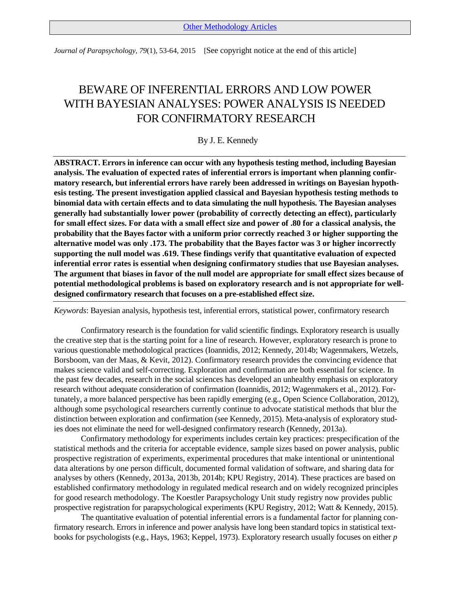*Journal of Parapsychology, 79*(1), 53-64, 2015 [See copyright notice at the end of this article]

# BEWARE OF INFERENTIAL ERRORS AND LOW POWER WITH BAYESIAN ANALYSES: POWER ANALYSIS IS NEEDED FOR CONFIRMATORY RESEARCH

# By J. E. Kennedy

**ABSTRACT. Errors in inference can occur with any hypothesis testing method, including Bayesian analysis. The evaluation of expected rates of inferential errors is important when planning confirmatory research, but inferential errors have rarely been addressed in writings on Bayesian hypothesis testing. The present investigation applied classical and Bayesian hypothesis testing methods to binomial data with certain effects and to data simulating the null hypothesis. The Bayesian analyses generally had substantially lower power (probability of correctly detecting an effect), particularly for small effect sizes. For data with a small effect size and power of .80 for a classical analysis, the probability that the Bayes factor with a uniform prior correctly reached 3 or higher supporting the alternative model was only .173. The probability that the Bayes factor was 3 or higher incorrectly supporting the null model was .619. These findings verify that quantitative evaluation of expected inferential error rates is essential when designing confirmatory studies that use Bayesian analyses. The argument that biases in favor of the null model are appropriate for small effect sizes because of potential methodological problems is based on exploratory research and is not appropriate for welldesigned confirmatory research that focuses on a pre-established effect size.** 

*Keywords*: Bayesian analysis, hypothesis test, inferential errors, statistical power, confirmatory research

Confirmatory research is the foundation for valid scientific findings. Exploratory research is usually the creative step that is the starting point for a line of research. However, exploratory research is prone to various questionable methodological practices (Ioannidis, 2012; Kennedy, 2014b; Wagenmakers, Wetzels, Borsboom, van der Maas, & Kevit, 2012). Confirmatory research provides the convincing evidence that makes science valid and self-correcting. Exploration and confirmation are both essential for science. In the past few decades, research in the social sciences has developed an unhealthy emphasis on exploratory research without adequate consideration of confirmation (Ioannidis, 2012; Wagenmakers et al., 2012). Fortunately, a more balanced perspective has been rapidly emerging (e.g., Open Science Collaboration, 2012), although some psychological researchers currently continue to advocate statistical methods that blur the distinction between exploration and confirmation (see Kennedy, 2015). Meta-analysis of exploratory studies does not eliminate the need for well-designed confirmatory research (Kennedy, 2013a).

Confirmatory methodology for experiments includes certain key practices: prespecification of the statistical methods and the criteria for acceptable evidence, sample sizes based on power analysis, public prospective registration of experiments, experimental procedures that make intentional or unintentional data alterations by one person difficult, documented formal validation of software, and sharing data for analyses by others (Kennedy, 2013a, 2013b, 2014b; KPU Registry, 2014). These practices are based on established confirmatory methodology in regulated medical research and on widely recognized principles for good research methodology. The Koestler Parapsychology Unit study registry now provides public prospective registration for parapsychological experiments (KPU Registry, 2012; Watt & Kennedy, 2015).

The quantitative evaluation of potential inferential errors is a fundamental factor for planning confirmatory research. Errors in inference and power analysis have long been standard topics in statistical textbooks for psychologists (e.g., Hays, 1963; Keppel, 1973). Exploratory research usually focuses on either *p*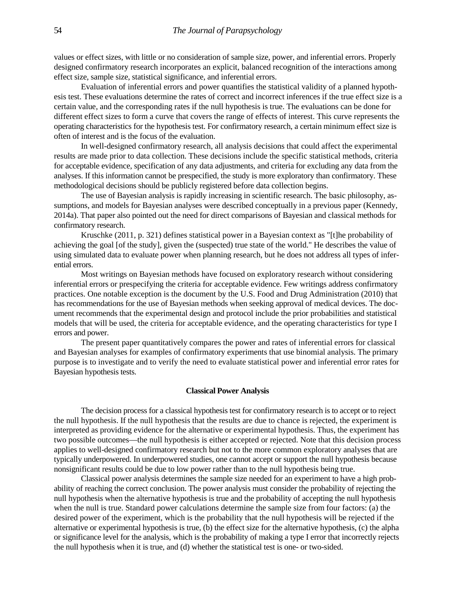values or effect sizes, with little or no consideration of sample size, power, and inferential errors. Properly designed confirmatory research incorporates an explicit, balanced recognition of the interactions among effect size, sample size, statistical significance, and inferential errors.

Evaluation of inferential errors and power quantifies the statistical validity of a planned hypothesis test. These evaluations determine the rates of correct and incorrect inferences if the true effect size is a certain value, and the corresponding rates if the null hypothesis is true. The evaluations can be done for different effect sizes to form a curve that covers the range of effects of interest. This curve represents the operating characteristics for the hypothesis test. For confirmatory research, a certain minimum effect size is often of interest and is the focus of the evaluation.

In well-designed confirmatory research, all analysis decisions that could affect the experimental results are made prior to data collection. These decisions include the specific statistical methods, criteria for acceptable evidence, specification of any data adjustments, and criteria for excluding any data from the analyses. If this information cannot be prespecified, the study is more exploratory than confirmatory. These methodological decisions should be publicly registered before data collection begins.

The use of Bayesian analysis is rapidly increasing in scientific research. The basic philosophy, assumptions, and models for Bayesian analyses were described conceptually in a previous paper (Kennedy, 2014a). That paper also pointed out the need for direct comparisons of Bayesian and classical methods for confirmatory research.

Kruschke (2011, p. 321) defines statistical power in a Bayesian context as "[t]he probability of achieving the goal [of the study], given the (suspected) true state of the world." He describes the value of using simulated data to evaluate power when planning research, but he does not address all types of inferential errors.

Most writings on Bayesian methods have focused on exploratory research without considering inferential errors or prespecifying the criteria for acceptable evidence. Few writings address confirmatory practices. One notable exception is the document by the U.S. Food and Drug Administration (2010) that has recommendations for the use of Bayesian methods when seeking approval of medical devices. The document recommends that the experimental design and protocol include the prior probabilities and statistical models that will be used, the criteria for acceptable evidence, and the operating characteristics for type I errors and power.

The present paper quantitatively compares the power and rates of inferential errors for classical and Bayesian analyses for examples of confirmatory experiments that use binomial analysis. The primary purpose is to investigate and to verify the need to evaluate statistical power and inferential error rates for Bayesian hypothesis tests.

# **Classical Power Analysis**

The decision process for a classical hypothesis test for confirmatory research is to accept or to reject the null hypothesis. If the null hypothesis that the results are due to chance is rejected, the experiment is interpreted as providing evidence for the alternative or experimental hypothesis. Thus, the experiment has two possible outcomes—the null hypothesis is either accepted or rejected. Note that this decision process applies to well-designed confirmatory research but not to the more common exploratory analyses that are typically underpowered. In underpowered studies, one cannot accept or support the null hypothesis because nonsignificant results could be due to low power rather than to the null hypothesis being true.

Classical power analysis determines the sample size needed for an experiment to have a high probability of reaching the correct conclusion. The power analysis must consider the probability of rejecting the null hypothesis when the alternative hypothesis is true and the probability of accepting the null hypothesis when the null is true. Standard power calculations determine the sample size from four factors: (a) the desired power of the experiment, which is the probability that the null hypothesis will be rejected if the alternative or experimental hypothesis is true, (b) the effect size for the alternative hypothesis, (c) the alpha or significance level for the analysis, which is the probability of making a type I error that incorrectly rejects the null hypothesis when it is true, and (d) whether the statistical test is one- or two-sided.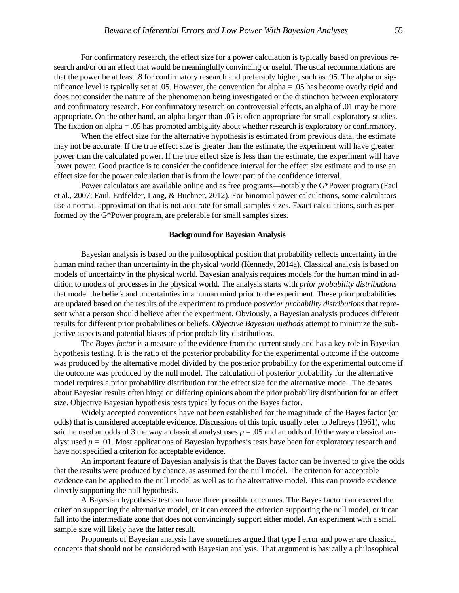For confirmatory research, the effect size for a power calculation is typically based on previous research and/or on an effect that would be meaningfully convincing or useful. The usual recommendations are that the power be at least .8 for confirmatory research and preferably higher, such as .95. The alpha or significance level is typically set at .05. However, the convention for alpha = .05 has become overly rigid and does not consider the nature of the phenomenon being investigated or the distinction between exploratory and confirmatory research. For confirmatory research on controversial effects, an alpha of .01 may be more appropriate. On the other hand, an alpha larger than .05 is often appropriate for small exploratory studies. The fixation on alpha = .05 has promoted ambiguity about whether research is exploratory or confirmatory.

When the effect size for the alternative hypothesis is estimated from previous data, the estimate may not be accurate. If the true effect size is greater than the estimate, the experiment will have greater power than the calculated power. If the true effect size is less than the estimate, the experiment will have lower power. Good practice is to consider the confidence interval for the effect size estimate and to use an effect size for the power calculation that is from the lower part of the confidence interval.

Power calculators are available online and as free programs—notably the G\*Power program (Faul et al., 2007; Faul, Erdfelder, Lang, & Buchner, 2012). For binomial power calculations, some calculators use a normal approximation that is not accurate for small samples sizes. Exact calculations, such as performed by the G\*Power program, are preferable for small samples sizes.

## **Background for Bayesian Analysis**

Bayesian analysis is based on the philosophical position that probability reflects uncertainty in the human mind rather than uncertainty in the physical world (Kennedy, 2014a). Classical analysis is based on models of uncertainty in the physical world. Bayesian analysis requires models for the human mind in addition to models of processes in the physical world. The analysis starts with *prior probability distributions*  that model the beliefs and uncertainties in a human mind prior to the experiment. These prior probabilities are updated based on the results of the experiment to produce *posterior probability distributions* that represent what a person should believe after the experiment. Obviously, a Bayesian analysis produces different results for different prior probabilities or beliefs. *Objective Bayesian methods* attempt to minimize the subjective aspects and potential biases of prior probability distributions.

The *Bayes factor* is a measure of the evidence from the current study and has a key role in Bayesian hypothesis testing. It is the ratio of the posterior probability for the experimental outcome if the outcome was produced by the alternative model divided by the posterior probability for the experimental outcome if the outcome was produced by the null model. The calculation of posterior probability for the alternative model requires a prior probability distribution for the effect size for the alternative model. The debates about Bayesian results often hinge on differing opinions about the prior probability distribution for an effect size. Objective Bayesian hypothesis tests typically focus on the Bayes factor.

Widely accepted conventions have not been established for the magnitude of the Bayes factor (or odds) that is considered acceptable evidence. Discussions of this topic usually refer to Jeffreys (1961), who said he used an odds of 3 the way a classical analyst uses  $p = 0.05$  and an odds of 10 the way a classical analyst used  $p = 0.01$ . Most applications of Bayesian hypothesis tests have been for exploratory research and have not specified a criterion for acceptable evidence.

An important feature of Bayesian analysis is that the Bayes factor can be inverted to give the odds that the results were produced by chance, as assumed for the null model. The criterion for acceptable evidence can be applied to the null model as well as to the alternative model. This can provide evidence directly supporting the null hypothesis.

A Bayesian hypothesis test can have three possible outcomes. The Bayes factor can exceed the criterion supporting the alternative model, or it can exceed the criterion supporting the null model, or it can fall into the intermediate zone that does not convincingly support either model. An experiment with a small sample size will likely have the latter result.

Proponents of Bayesian analysis have sometimes argued that type I error and power are classical concepts that should not be considered with Bayesian analysis. That argument is basically a philosophical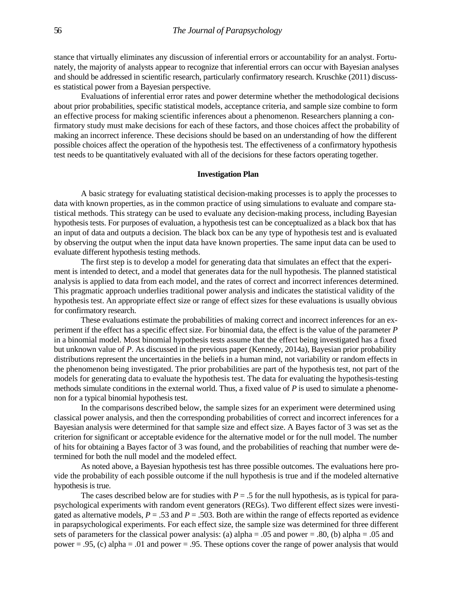stance that virtually eliminates any discussion of inferential errors or accountability for an analyst. Fortunately, the majority of analysts appear to recognize that inferential errors can occur with Bayesian analyses and should be addressed in scientific research, particularly confirmatory research. Kruschke (2011) discusses statistical power from a Bayesian perspective.

Evaluations of inferential error rates and power determine whether the methodological decisions about prior probabilities, specific statistical models, acceptance criteria, and sample size combine to form an effective process for making scientific inferences about a phenomenon. Researchers planning a confirmatory study must make decisions for each of these factors, and those choices affect the probability of making an incorrect inference. These decisions should be based on an understanding of how the different possible choices affect the operation of the hypothesis test. The effectiveness of a confirmatory hypothesis test needs to be quantitatively evaluated with all of the decisions for these factors operating together.

#### **Investigation Plan**

A basic strategy for evaluating statistical decision-making processes is to apply the processes to data with known properties, as in the common practice of using simulations to evaluate and compare statistical methods. This strategy can be used to evaluate any decision-making process, including Bayesian hypothesis tests. For purposes of evaluation, a hypothesis test can be conceptualized as a black box that has an input of data and outputs a decision. The black box can be any type of hypothesis test and is evaluated by observing the output when the input data have known properties. The same input data can be used to evaluate different hypothesis testing methods.

The first step is to develop a model for generating data that simulates an effect that the experiment is intended to detect, and a model that generates data for the null hypothesis. The planned statistical analysis is applied to data from each model, and the rates of correct and incorrect inferences determined. This pragmatic approach underlies traditional power analysis and indicates the statistical validity of the hypothesis test. An appropriate effect size or range of effect sizes for these evaluations is usually obvious for confirmatory research.

These evaluations estimate the probabilities of making correct and incorrect inferences for an experiment if the effect has a specific effect size. For binomial data, the effect is the value of the parameter *P*  in a binomial model. Most binomial hypothesis tests assume that the effect being investigated has a fixed but unknown value of *P*. As discussed in the previous paper (Kennedy, 2014a), Bayesian prior probability distributions represent the uncertainties in the beliefs in a human mind, not variability or random effects in the phenomenon being investigated. The prior probabilities are part of the hypothesis test, not part of the models for generating data to evaluate the hypothesis test. The data for evaluating the hypothesis-testing methods simulate conditions in the external world. Thus, a fixed value of *P* is used to simulate a phenomenon for a typical binomial hypothesis test.

In the comparisons described below, the sample sizes for an experiment were determined using classical power analysis, and then the corresponding probabilities of correct and incorrect inferences for a Bayesian analysis were determined for that sample size and effect size. A Bayes factor of 3 was set as the criterion for significant or acceptable evidence for the alternative model or for the null model. The number of hits for obtaining a Bayes factor of 3 was found, and the probabilities of reaching that number were determined for both the null model and the modeled effect.

As noted above, a Bayesian hypothesis test has three possible outcomes. The evaluations here provide the probability of each possible outcome if the null hypothesis is true and if the modeled alternative hypothesis is true.

The cases described below are for studies with  $P = 0.5$  for the null hypothesis, as is typical for parapsychological experiments with random event generators (REGs). Two different effect sizes were investigated as alternative models,  $P = .53$  and  $P = .503$ . Both are within the range of effects reported as evidence in parapsychological experiments. For each effect size, the sample size was determined for three different sets of parameters for the classical power analysis: (a) alpha = .05 and power = .80, (b) alpha = .05 and power = .95, (c) alpha = .01 and power = .95. These options cover the range of power analysis that would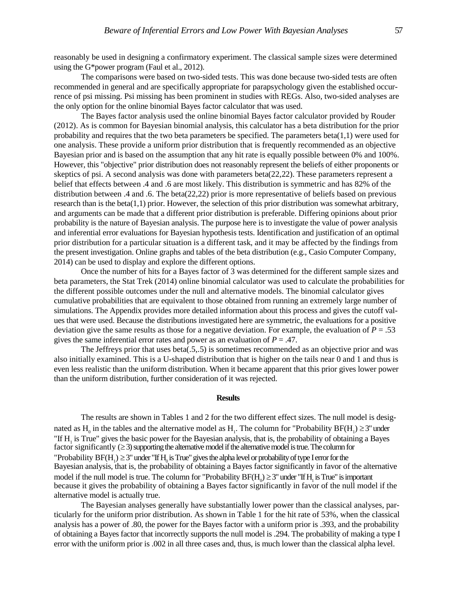reasonably be used in designing a confirmatory experiment. The classical sample sizes were determined using the G\*power program (Faul et al., 2012).

The comparisons were based on two-sided tests. This was done because two-sided tests are often recommended in general and are specifically appropriate for parapsychology given the established occurrence of psi missing. Psi missing has been prominent in studies with REGs. Also, two-sided analyses are the only option for the online binomial Bayes factor calculator that was used.

The Bayes factor analysis used the online binomial Bayes factor calculator provided by Rouder (2012). As is common for Bayesian binomial analysis, this calculator has a beta distribution for the prior probability and requires that the two beta parameters be specified. The parameters beta $(1,1)$  were used for one analysis. These provide a uniform prior distribution that is frequently recommended as an objective Bayesian prior and is based on the assumption that any hit rate is equally possible between 0% and 100%. However, this "objective" prior distribution does not reasonably represent the beliefs of either proponents or skeptics of psi. A second analysis was done with parameters beta(22,22). These parameters represent a belief that effects between .4 and .6 are most likely. This distribution is symmetric and has 82% of the distribution between .4 and .6. The beta(22,22) prior is more representative of beliefs based on previous research than is the beta $(1,1)$  prior. However, the selection of this prior distribution was somewhat arbitrary, and arguments can be made that a different prior distribution is preferable. Differing opinions about prior probability is the nature of Bayesian analysis. The purpose here is to investigate the value of power analysis and inferential error evaluations for Bayesian hypothesis tests. Identification and justification of an optimal prior distribution for a particular situation is a different task, and it may be affected by the findings from the present investigation. Online graphs and tables of the beta distribution (e.g., Casio Computer Company, 2014) can be used to display and explore the different options.

Once the number of hits for a Bayes factor of 3 was determined for the different sample sizes and beta parameters, the Stat Trek (2014) online binomial calculator was used to calculate the probabilities for the different possible outcomes under the null and alternative models. The binomial calculator gives cumulative probabilities that are equivalent to those obtained from running an extremely large number of simulations. The Appendix provides more detailed information about this process and gives the cutoff values that were used. Because the distributions investigated here are symmetric, the evaluations for a positive deviation give the same results as those for a negative deviation. For example, the evaluation of  $P = .53$ gives the same inferential error rates and power as an evaluation of  $P = .47$ .

The Jeffreys prior that uses beta(.5,.5) is sometimes recommended as an objective prior and was also initially examined. This is a U-shaped distribution that is higher on the tails near 0 and 1 and thus is even less realistic than the uniform distribution. When it became apparent that this prior gives lower power than the uniform distribution, further consideration of it was rejected.

#### **Results**

The results are shown in Tables 1 and 2 for the two different effect sizes. The null model is designated as H<sub>0</sub> in the tables and the alternative model as H<sub>1</sub>. The column for "Probability BF(H<sub>1</sub>)  $\geq$ 3" under "If H1 is True" gives the basic power for the Bayesian analysis, that is, the probability of obtaining a Bayes factor significantly  $(≥3)$  supporting the alternative model if the alternative model is true. The column for "Probability  $BF(H_1) \ge 3$ " under "If  $H_0$  is True" gives the alpha level or probability of type I error for the Bayesian analysis, that is, the probability of obtaining a Bayes factor significantly in favor of the alternative model if the null model is true. The column for "Probability  $BF(H_0) \ge 3$ " under "If  $H_1$  is True" is important because it gives the probability of obtaining a Bayes factor significantly in favor of the null model if the alternative model is actually true.

The Bayesian analyses generally have substantially lower power than the classical analyses, particularly for the uniform prior distribution. As shown in Table 1 for the hit rate of 53%, when the classical analysis has a power of .80, the power for the Bayes factor with a uniform prior is .393, and the probability of obtaining a Bayes factor that incorrectly supports the null model is .294. The probability of making a type I error with the uniform prior is .002 in all three cases and, thus, is much lower than the classical alpha level.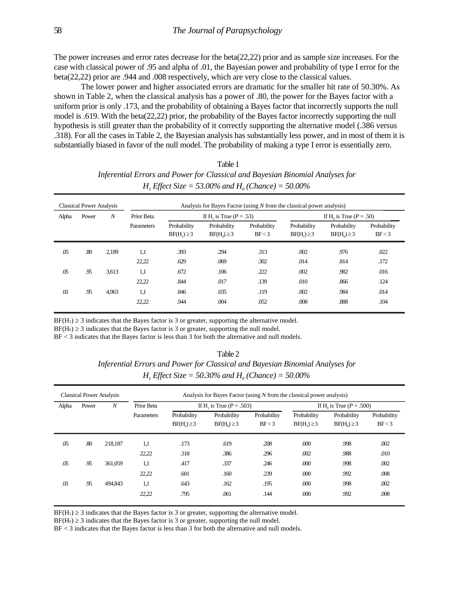The power increases and error rates decrease for the beta(22,22) prior and as sample size increases. For the case with classical power of .95 and alpha of .01, the Bayesian power and probability of type I error for the beta(22,22) prior are .944 and .008 respectively, which are very close to the classical values.

The lower power and higher associated errors are dramatic for the smaller hit rate of 50.30%. As shown in Table 2, when the classical analysis has a power of .80, the power for the Bayes factor with a uniform prior is only .173, and the probability of obtaining a Bayes factor that incorrectly supports the null model is .619. With the beta(22,22) prior, the probability of the Bayes factor incorrectly supporting the null hypothesis is still greater than the probability of it correctly supporting the alternative model (.386 versus .318). For all the cases in Table 2, the Bayesian analysis has substantially less power, and in most of them it is substantially biased in favor of the null model. The probability of making a type I error is essentially zero.

| Table 1                                                                                     |
|---------------------------------------------------------------------------------------------|
| Inferential Errors and Power for Classical and Bayesian Binomial Analyses for               |
| <i>H</i> , <i>Effect Size</i> = 53.00% and <i>H</i> <sub>o</sub> ( <i>Chance</i> ) = 50.00% |

| <b>Classical Power Analysis</b> |       |       | Analysis for Bayes Factor (using $N$ from the classical power analysis) |                                       |                                 |                       |                                         |                                 |                       |
|---------------------------------|-------|-------|-------------------------------------------------------------------------|---------------------------------------|---------------------------------|-----------------------|-----------------------------------------|---------------------------------|-----------------------|
| Alpha                           | Power | N     | Prior Beta                                                              | If H <sub>1</sub> is True $(P = .53)$ |                                 |                       | If H <sub>0</sub> is True ( $P = .50$ ) |                                 |                       |
|                                 |       |       | Parameters                                                              | Probability<br>$BF(H1) \geq 3$        | Probability<br>$BF(H_0) \geq 3$ | Probability<br>BF < 3 | Probability<br>$BF(H1) \geq 3$          | Probability<br>$BF(H_0) \geq 3$ | Probability<br>BF < 3 |
| .05                             | .80   | 2,189 | 1,1                                                                     | .393                                  | .294                            | .313                  | .002                                    | .976                            | .022                  |
|                                 |       |       | 22,22                                                                   | .629                                  | .069                            | .302                  | .014                                    | .814                            | .172                  |
| .05                             | .95   | 3,613 | 1,1                                                                     | .672                                  | .106                            | .222                  | .002                                    | .982                            | .016                  |
|                                 |       |       | 22,22                                                                   | .844                                  | .017                            | .139                  | .010                                    | .866                            | .124                  |
| .01                             | .95   | 4,963 | 1,1                                                                     | .846                                  | .035                            | .119                  | .002                                    | .984                            | .014                  |
|                                 |       |       | 22,22                                                                   | .944                                  | .004                            | .052                  | .008                                    | .888                            | .104                  |

 $BF(H_1) \geq 3$  indicates that the Bayes factor is 3 or greater, supporting the alternative model.

 $BF(H_0) \geq 3$  indicates that the Bayes factor is 3 or greater, supporting the null model.

BF < 3 indicates that the Bayes factor is less than 3 for both the alternative and null models.

| $1$ and $2$                                                                   |  |  |  |  |  |  |  |  |
|-------------------------------------------------------------------------------|--|--|--|--|--|--|--|--|
| Inferential Errors and Power for Classical and Bayesian Binomial Analyses for |  |  |  |  |  |  |  |  |
| <i>H</i> , <i>Effect Size</i> = 50.30% and $H_0$ (Chance) = 50.00%            |  |  |  |  |  |  |  |  |

 $T<sub>o</sub>$  $h<sub>1</sub>$  $\gamma$ 

| <b>Classical Power Analysis</b> |       | Analysis for Bayes Factor (using $N$ from the classical power analysis) |            |                                |                                 |                       |                                |                                          |                       |
|---------------------------------|-------|-------------------------------------------------------------------------|------------|--------------------------------|---------------------------------|-----------------------|--------------------------------|------------------------------------------|-----------------------|
| Alpha                           | Power | $\boldsymbol{N}$                                                        | Prior Beta | If H, is True $(P = .503)$     |                                 |                       |                                | If H <sub>0</sub> is True ( $P = .500$ ) |                       |
|                                 |       |                                                                         | Parameters | Probability<br>$BF(H1) \geq 3$ | Probability<br>$BF(H_0) \geq 3$ | Probability<br>BF < 3 | Probability<br>$BF(H1) \geq 3$ | Probability<br>$BF(H_0) \geq 3$          | Probability<br>BF < 3 |
| .05                             | .80   | 218,187                                                                 | 1,1        | .173                           | .619                            | .208                  | .000                           | .998                                     | .002                  |
|                                 |       |                                                                         | 22,22      | .318                           | .386                            | .296                  | .002                           | .988                                     | .010                  |
| .05                             | .95   | 361,059                                                                 | 1,1        | .417                           | .337                            | .246                  | .000                           | .998                                     | .002                  |
|                                 |       |                                                                         | 22,22      | .601                           | .160                            | .239                  | .000                           | .992                                     | .008                  |
| .01                             | .95   | 494,843                                                                 | 1,1        | .643                           | .162                            | .195                  | .000                           | .998                                     | .002                  |
|                                 |       |                                                                         | 22,22      | .795                           | .061                            | .144                  | .000                           | .992                                     | .008                  |

 $BF(H_1) \geq 3$  indicates that the Bayes factor is 3 or greater, supporting the alternative model.

 $BF(H_0) \geq 3$  indicates that the Bayes factor is 3 or greater, supporting the null model.

BF < 3 indicates that the Bayes factor is less than 3 for both the alternative and null models.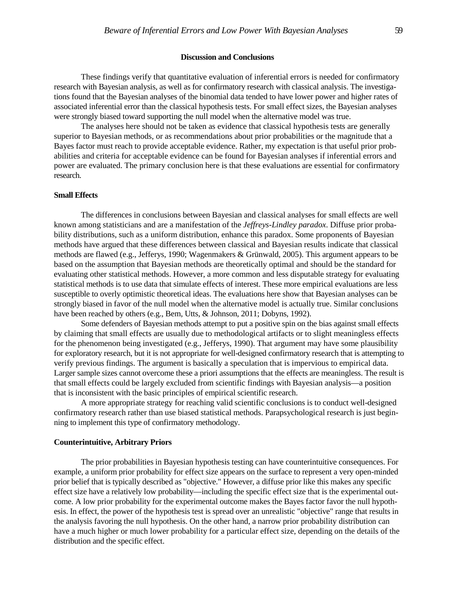# **Discussion and Conclusions**

These findings verify that quantitative evaluation of inferential errors is needed for confirmatory research with Bayesian analysis, as well as for confirmatory research with classical analysis. The investigations found that the Bayesian analyses of the binomial data tended to have lower power and higher rates of associated inferential error than the classical hypothesis tests. For small effect sizes, the Bayesian analyses were strongly biased toward supporting the null model when the alternative model was true.

The analyses here should not be taken as evidence that classical hypothesis tests are generally superior to Bayesian methods, or as recommendations about prior probabilities or the magnitude that a Bayes factor must reach to provide acceptable evidence. Rather, my expectation is that useful prior probabilities and criteria for acceptable evidence can be found for Bayesian analyses if inferential errors and power are evaluated. The primary conclusion here is that these evaluations are essential for confirmatory research.

# **Small Effects**

The differences in conclusions between Bayesian and classical analyses for small effects are well known among statisticians and are a manifestation of the *Jeffreys-Lindley paradox*. Diffuse prior probability distributions, such as a uniform distribution, enhance this paradox. Some proponents of Bayesian methods have argued that these differences between classical and Bayesian results indicate that classical methods are flawed (e.g., Jefferys, 1990; Wagenmakers & Grünwald, 2005). This argument appears to be based on the assumption that Bayesian methods are theoretically optimal and should be the standard for evaluating other statistical methods. However, a more common and less disputable strategy for evaluating statistical methods is to use data that simulate effects of interest. These more empirical evaluations are less susceptible to overly optimistic theoretical ideas. The evaluations here show that Bayesian analyses can be strongly biased in favor of the null model when the alternative model is actually true. Similar conclusions have been reached by others (e.g., Bem, Utts, & Johnson, 2011; Dobyns, 1992).

Some defenders of Bayesian methods attempt to put a positive spin on the bias against small effects by claiming that small effects are usually due to methodological artifacts or to slight meaningless effects for the phenomenon being investigated (e.g., Jefferys, 1990). That argument may have some plausibility for exploratory research, but it is not appropriate for well-designed confirmatory research that is attempting to verify previous findings. The argument is basically a speculation that is impervious to empirical data. Larger sample sizes cannot overcome these a priori assumptions that the effects are meaningless. The result is that small effects could be largely excluded from scientific findings with Bayesian analysis—a position that is inconsistent with the basic principles of empirical scientific research.

A more appropriate strategy for reaching valid scientific conclusions is to conduct well-designed confirmatory research rather than use biased statistical methods. Parapsychological research is just beginning to implement this type of confirmatory methodology.

#### **Counterintuitive, Arbitrary Priors**

The prior probabilities in Bayesian hypothesis testing can have counterintuitive consequences. For example, a uniform prior probability for effect size appears on the surface to represent a very open-minded prior belief that is typically described as "objective." However, a diffuse prior like this makes any specific effect size have a relatively low probability—including the specific effect size that is the experimental outcome. A low prior probability for the experimental outcome makes the Bayes factor favor the null hypothesis. In effect, the power of the hypothesis test is spread over an unrealistic "objective" range that results in the analysis favoring the null hypothesis. On the other hand, a narrow prior probability distribution can have a much higher or much lower probability for a particular effect size, depending on the details of the distribution and the specific effect.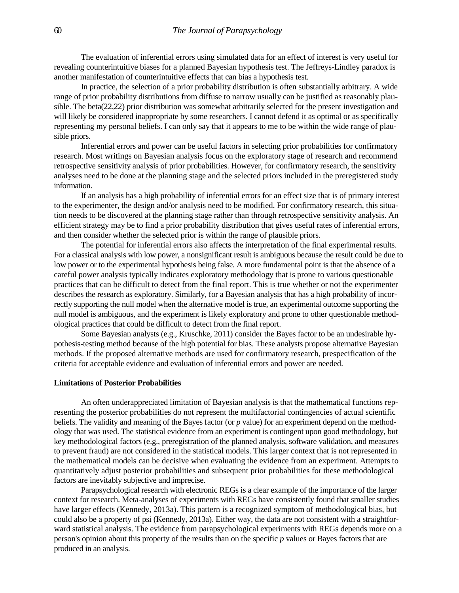The evaluation of inferential errors using simulated data for an effect of interest is very useful for revealing counterintuitive biases for a planned Bayesian hypothesis test. The Jeffreys-Lindley paradox is another manifestation of counterintuitive effects that can bias a hypothesis test.

In practice, the selection of a prior probability distribution is often substantially arbitrary. A wide range of prior probability distributions from diffuse to narrow usually can be justified as reasonably plausible. The beta(22,22) prior distribution was somewhat arbitrarily selected for the present investigation and will likely be considered inappropriate by some researchers. I cannot defend it as optimal or as specifically representing my personal beliefs. I can only say that it appears to me to be within the wide range of plausible priors.

Inferential errors and power can be useful factors in selecting prior probabilities for confirmatory research. Most writings on Bayesian analysis focus on the exploratory stage of research and recommend retrospective sensitivity analysis of prior probabilities. However, for confirmatory research, the sensitivity analyses need to be done at the planning stage and the selected priors included in the preregistered study information.

If an analysis has a high probability of inferential errors for an effect size that is of primary interest to the experimenter, the design and/or analysis need to be modified. For confirmatory research, this situation needs to be discovered at the planning stage rather than through retrospective sensitivity analysis. An efficient strategy may be to find a prior probability distribution that gives useful rates of inferential errors, and then consider whether the selected prior is within the range of plausible priors.

The potential for inferential errors also affects the interpretation of the final experimental results. For a classical analysis with low power, a nonsignificant result is ambiguous because the result could be due to low power or to the experimental hypothesis being false. A more fundamental point is that the absence of a careful power analysis typically indicates exploratory methodology that is prone to various questionable practices that can be difficult to detect from the final report. This is true whether or not the experimenter describes the research as exploratory. Similarly, for a Bayesian analysis that has a high probability of incorrectly supporting the null model when the alternative model is true, an experimental outcome supporting the null model is ambiguous, and the experiment is likely exploratory and prone to other questionable methodological practices that could be difficult to detect from the final report.

Some Bayesian analysts (e.g., Kruschke, 2011) consider the Bayes factor to be an undesirable hypothesis-testing method because of the high potential for bias. These analysts propose alternative Bayesian methods. If the proposed alternative methods are used for confirmatory research, prespecification of the criteria for acceptable evidence and evaluation of inferential errors and power are needed.

## **Limitations of Posterior Probabilities**

An often underappreciated limitation of Bayesian analysis is that the mathematical functions representing the posterior probabilities do not represent the multifactorial contingencies of actual scientific beliefs. The validity and meaning of the Bayes factor (or *p* value) for an experiment depend on the methodology that was used. The statistical evidence from an experiment is contingent upon good methodology, but key methodological factors (e.g., preregistration of the planned analysis, software validation, and measures to prevent fraud) are not considered in the statistical models. This larger context that is not represented in the mathematical models can be decisive when evaluating the evidence from an experiment. Attempts to quantitatively adjust posterior probabilities and subsequent prior probabilities for these methodological factors are inevitably subjective and imprecise.

Parapsychological research with electronic REGs is a clear example of the importance of the larger context for research. Meta-analyses of experiments with REGs have consistently found that smaller studies have larger effects (Kennedy, 2013a). This pattern is a recognized symptom of methodological bias, but could also be a property of psi (Kennedy, 2013a). Either way, the data are not consistent with a straightforward statistical analysis. The evidence from parapsychological experiments with REGs depends more on a person's opinion about this property of the results than on the specific *p* values or Bayes factors that are produced in an analysis.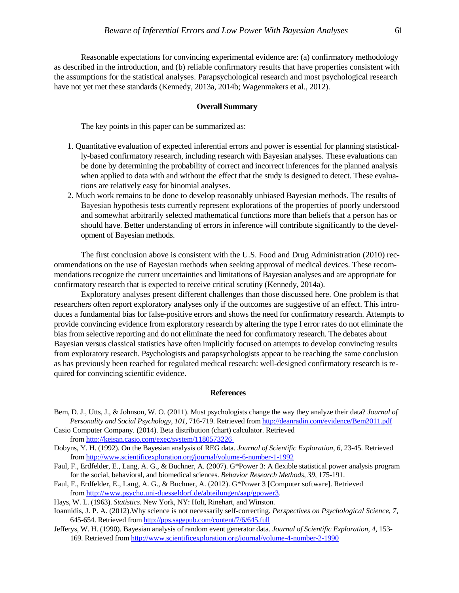Reasonable expectations for convincing experimental evidence are: (a) confirmatory methodology as described in the introduction, and (b) reliable confirmatory results that have properties consistent with the assumptions for the statistical analyses. Parapsychological research and most psychological research have not yet met these standards (Kennedy, 2013a, 2014b; Wagenmakers et al., 2012).

#### **Overall Summary**

The key points in this paper can be summarized as:

- 1. Quantitative evaluation of expected inferential errors and power is essential for planning statistically-based confirmatory research, including research with Bayesian analyses. These evaluations can be done by determining the probability of correct and incorrect inferences for the planned analysis when applied to data with and without the effect that the study is designed to detect. These evaluations are relatively easy for binomial analyses.
- 2. Much work remains to be done to develop reasonably unbiased Bayesian methods. The results of Bayesian hypothesis tests currently represent explorations of the properties of poorly understood and somewhat arbitrarily selected mathematical functions more than beliefs that a person has or should have. Better understanding of errors in inference will contribute significantly to the development of Bayesian methods.

The first conclusion above is consistent with the U.S. Food and Drug Administration (2010) recommendations on the use of Bayesian methods when seeking approval of medical devices. These recommendations recognize the current uncertainties and limitations of Bayesian analyses and are appropriate for confirmatory research that is expected to receive critical scrutiny (Kennedy, 2014a).

Exploratory analyses present different challenges than those discussed here. One problem is that researchers often report exploratory analyses only if the outcomes are suggestive of an effect. This introduces a fundamental bias for false-positive errors and shows the need for confirmatory research. Attempts to provide convincing evidence from exploratory research by altering the type I error rates do not eliminate the bias from selective reporting and do not eliminate the need for confirmatory research. The debates about Bayesian versus classical statistics have often implicitly focused on attempts to develop convincing results from exploratory research. Psychologists and parapsychologists appear to be reaching the same conclusion as has previously been reached for regulated medical research: well-designed confirmatory research is required for convincing scientific evidence.

#### **References**

- Bem, D. J., Utts, J., & Johnson, W. O. (2011). Must psychologists change the way they analyze their data? *Journal of Personality and Social Psychology*, *101*, 716-719. Retrieved from<http://deanradin.com/evidence/Bem2011.pdf>
- Casio Computer Company. (2014). Beta distribution (chart) calculator. Retrieved from<http://keisan.casio.com/exec/system/1180573226>
- Dobyns, Y. H. (1992). On the Bayesian analysis of REG data. *Journal of Scientific Exploration*, *6*, 23-45. Retrieved from<http://www.scientificexploration.org/journal/volume-6-number-1-1992>
- Faul, F., Erdfelder, E., Lang, A. G., & Buchner, A. (2007). G\*Power 3: A flexible statistical power analysis program for the social, behavioral, and biomedical sciences. *Behavior Research Methods*, *39*, 175-191.
- Faul, F., Erdfelder, E., Lang, A. G., & Buchner, A. (2012). G\*Power 3 [Computer software]. Retrieved from [http://www.psycho.uni-duesseldorf.de/abteilungen/aap/gpower3.](http://www.psycho.uni-duesseldorf.de/abteilungen/aap/gpower3)
- Hays, W. L. (1963). *Statistics*. New York, NY: Holt, Rinehart, and Winston.
- Ioannidis, J. P. A. (2012).Why science is not necessarily self-correcting. *Perspectives on Psychological Science*, *7*, 645-654. Retrieved fro[m http://pps.sagepub.com/content/7/6/645.full](http://pps.sagepub.com/content/7/6/645.full)
- Jefferys, W. H. (1990). Bayesian analysis of random event generator data. *Journal of Scientific Exploration*, *4*, 153- 169. Retrieved from<http://www.scientificexploration.org/journal/volume-4-number-2-1990>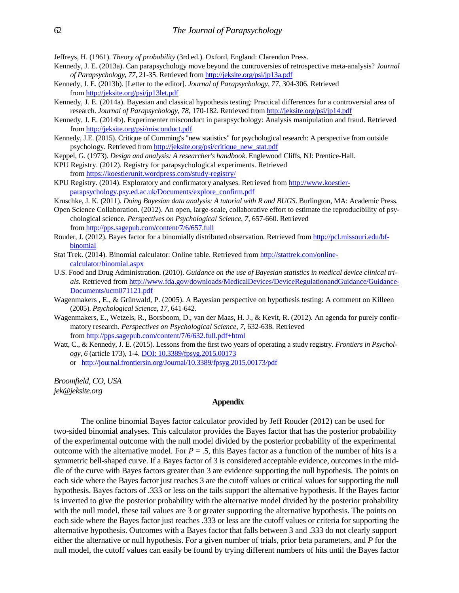Jeffreys, H. (1961). *Theory of probability* (3rd ed.). Oxford, England: Clarendon Press.

- Kennedy, J. E. (2013a). Can parapsychology move beyond the controversies of retrospective meta-analysis? *Journal of Parapsychology*, *77*, 21-35. Retrieved fro[m http://jeksite.org/psi/jp13a.pdf](http://jeksite.org/psi/jp13a.pdf)
- Kennedy, J. E. (2013b). [Letter to the editor]. *Journal of Parapsychology*, *77*, 304-306. Retrieved fro[m http://jeksite.org/psi/jp13let.pdf](http://jeksite.org/psi/jp13let.pdf)
- Kennedy, J. E. (2014a). Bayesian and classical hypothesis testing: Practical differences for a controversial area of research. *Journal of Parapsychology*, *78*, 170-182. Retrieved from<http://jeksite.org/psi/jp14.pdf>
- Kennedy, J. E. (2014b). Experimenter misconduct in parapsychology: Analysis manipulation and fraud. Retrieved from<http://jeksite.org/psi/misconduct.pdf>
- Kennedy, J.E. (2015). Critique of Cumming's "new statistics" for psychological research: A perspective from outside psychology. Retrieved from [http://jeksite.org/psi/critique\\_new\\_stat.pdf](http://jeksite.org/psi/critique_new_stat.pdf)
- Keppel, G. (1973). *Design and analysis: A researcher's handbook*. Englewood Cliffs, NJ: Prentice-Hall.
- KPU Registry. (2012). Registry for parapsychological experiments. Retrieved
- from<https://koestlerunit.wordpress.com/study-registry/> KPU Registry. (2014). Exploratory and confirmatory analyses. Retrieved from [http://www.koestler](http://www.koestler-parapsychology.psy.ed.ac.uk/Documents/explore_confirm.pdf)[parapsychology.psy.ed.ac.uk/Documents/explore\\_confirm.pdf](http://www.koestler-parapsychology.psy.ed.ac.uk/Documents/explore_confirm.pdf)
- Kruschke, J. K. (2011). *Doing Bayesian data analysis: A tutorial with R and BUGS*. Burlington, MA: Academic Press.
- Open Science Collaboration. (2012). An open, large-scale, collaborative effort to estimate the reproducibility of psychological science. *Perspectives on Psychological Science*, *7*, 657-660. Retrieved from<http://pps.sagepub.com/content/7/6/657.full>
- Rouder, J. (2012). Bayes factor for a binomially distributed observation. Retrieved fro[m http://pcl.missouri.edu/bf](http://pcl.missouri.edu/bf-binomial)[binomial](http://pcl.missouri.edu/bf-binomial)
- Stat Trek. (2014). Binomial calculator: Online table. Retrieved from [http://stattrek.com/online](http://stattrek.com/online-calculator/binomial.aspx)[calculator/binomial.aspx](http://stattrek.com/online-calculator/binomial.aspx)
- U.S. Food and Drug Administration. (2010). *Guidance on the use of Bayesian statistics in medical device clinical trials.* Retrieved fro[m http://www.fda.gov/downloads/MedicalDevices/DeviceRegulationandGuidance/Guidance-](http://www.fda.gov/downloads/MedicalDevices/DeviceRegulationandGuidance/Guidance-Documents/ucm071121.pdf)[Documents/ucm071121.pdf](http://www.fda.gov/downloads/MedicalDevices/DeviceRegulationandGuidance/Guidance-Documents/ucm071121.pdf)
- Wagenmakers , E., & Grünwald, P. (2005). A Bayesian perspective on hypothesis testing: A comment on Killeen (2005). *Psychological Science*, *17*, 641-642.
- Wagenmakers, E., Wetzels, R., Borsboom, D., van der Maas, H. J., & Kevit, R. (2012). An agenda for purely confirmatory research. *Perspectives on Psychological Science*, *7*, 632-638. Retrieved from<http://pps.sagepub.com/content/7/6/632.full.pdf+html>
- Watt, C., & Kennedy, J. E. (2015). Lessons from the first two years of operating a study registry. *Frontiers in Psychology*, *6* (article 173), 1-4[. DOI: 10.3389/fpsyg.2015.00173](http://dx.doi.org/10.3389/fpsyg.2015.00173) or <http://journal.frontiersin.org/Journal/10.3389/fpsyg.2015.00173/pdf>

*Broomfield, CO, USA jek@jeksite.org* 

# **Appendix**

The online binomial Bayes factor calculator provided by Jeff Rouder (2012) can be used for two-sided binomial analyses. This calculator provides the Bayes factor that has the posterior probability of the experimental outcome with the null model divided by the posterior probability of the experimental outcome with the alternative model. For  $P = .5$ , this Bayes factor as a function of the number of hits is a symmetric bell-shaped curve. If a Bayes factor of 3 is considered acceptable evidence, outcomes in the middle of the curve with Bayes factors greater than 3 are evidence supporting the null hypothesis. The points on each side where the Bayes factor just reaches 3 are the cutoff values or critical values for supporting the null hypothesis. Bayes factors of .333 or less on the tails support the alternative hypothesis. If the Bayes factor is inverted to give the posterior probability with the alternative model divided by the posterior probability with the null model, these tail values are 3 or greater supporting the alternative hypothesis. The points on each side where the Bayes factor just reaches .333 or less are the cutoff values or criteria for supporting the alternative hypothesis. Outcomes with a Bayes factor that falls between 3 and .333 do not clearly support either the alternative or null hypothesis. For a given number of trials, prior beta parameters, and *P* for the null model, the cutoff values can easily be found by trying different numbers of hits until the Bayes factor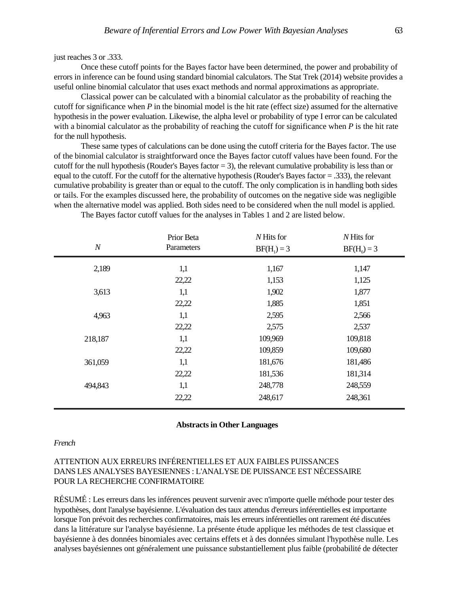Once these cutoff points for the Bayes factor have been determined, the power and probability of errors in inference can be found using standard binomial calculators. The Stat Trek (2014) website provides a useful online binomial calculator that uses exact methods and normal approximations as appropriate.

Classical power can be calculated with a binomial calculator as the probability of reaching the cutoff for significance when *P* in the binomial model is the hit rate (effect size) assumed for the alternative hypothesis in the power evaluation. Likewise, the alpha level or probability of type I error can be calculated with a binomial calculator as the probability of reaching the cutoff for significance when *P* is the hit rate for the null hypothesis.

These same types of calculations can be done using the cutoff criteria for the Bayes factor. The use of the binomial calculator is straightforward once the Bayes factor cutoff values have been found. For the cutoff for the null hypothesis (Rouder's Bayes factor = 3), the relevant cumulative probability is less than or equal to the cutoff. For the cutoff for the alternative hypothesis (Rouder's Bayes factor = .333), the relevant cumulative probability is greater than or equal to the cutoff. The only complication is in handling both sides or tails. For the examples discussed here, the probability of outcomes on the negative side was negligible when the alternative model was applied. Both sides need to be considered when the null model is applied.

| $\boldsymbol{N}$ | Prior Beta<br>Parameters | N Hits for<br>$BF(H1) = 3$ | $N$ Hits for<br>$BF(H_0) = 3$ |  |
|------------------|--------------------------|----------------------------|-------------------------------|--|
| 2,189            | 1,1                      | 1,167                      | 1,147                         |  |
|                  | 22,22                    | 1,153                      | 1,125                         |  |
| 3,613            | 1,1                      | 1,902                      | 1,877                         |  |
|                  | 22,22                    | 1,885                      | 1,851                         |  |
| 4,963            | 1,1                      | 2,595                      | 2,566                         |  |
|                  | 22,22                    | 2,575                      | 2,537                         |  |
| 218,187          | 1,1                      | 109,969                    | 109,818                       |  |
|                  | 22,22                    | 109,859                    | 109,680                       |  |
| 361,059          | 1,1                      | 181,676                    | 181,486                       |  |
|                  | 22,22                    | 181,536                    | 181,314                       |  |
| 494,843          | 1,1                      | 248,778                    | 248,559                       |  |
|                  | 22,22                    | 248,617                    | 248,361                       |  |
|                  |                          |                            |                               |  |

The Bayes factor cutoff values for the analyses in Tables 1 and 2 are listed below.

#### **Abstracts in Other Languages**

#### *French*

# ATTENTION AUX ERREURS INFÉRENTIELLES ET AUX FAIBLES PUISSANCES DANS LES ANALYSES BAYESIENNES : L'ANALYSE DE PUISSANCE EST NÉCESSAIRE POUR LA RECHERCHE CONFIRMATOIRE

RÉSUMÉ : Les erreurs dans les inférences peuvent survenir avec n'importe quelle méthode pour tester des hypothèses, dont l'analyse bayésienne. L'évaluation des taux attendus d'erreurs inférentielles est importante lorsque l'on prévoit des recherches confirmatoires, mais les erreurs inférentielles ont rarement été discutées dans la littérature sur l'analyse bayésienne. La présente étude applique les méthodes de test classique et bayésienne à des données binomiales avec certains effets et à des données simulant l'hypothèse nulle. Les analyses bayésiennes ont généralement une puissance substantiellement plus faible (probabilité de détecter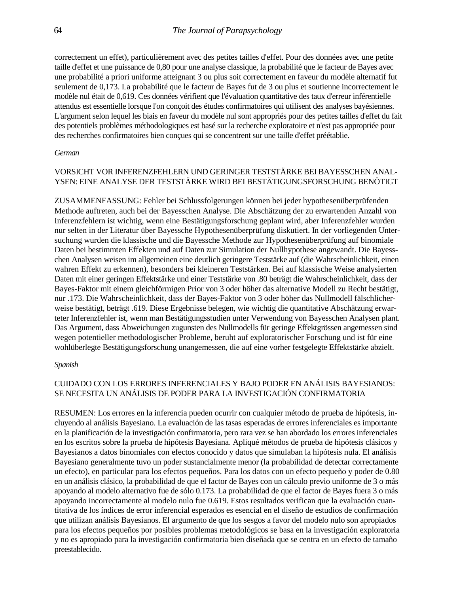correctement un effet), particulièrement avec des petites tailles d'effet. Pour des données avec une petite taille d'effet et une puissance de 0,80 pour une analyse classique, la probabilité que le facteur de Bayes avec une probabilité a priori uniforme atteignant 3 ou plus soit correctement en faveur du modèle alternatif fut seulement de 0,173. La probabilité que le facteur de Bayes fut de 3 ou plus et soutienne incorrectement le modèle nul était de 0,619. Ces données vérifient que l'évaluation quantitative des taux d'erreur inférentielle attendus est essentielle lorsque l'on conçoit des études confirmatoires qui utilisent des analyses bayésiennes. L'argument selon lequel les biais en faveur du modèle nul sont appropriés pour des petites tailles d'effet du fait des potentiels problèmes méthodologiques est basé sur la recherche exploratoire et n'est pas appropriée pour des recherches confirmatoires bien conçues qui se concentrent sur une taille d'effet préétablie.

# *German*

# VORSICHT VOR INFERENZFEHLERN UND GERINGER TESTSTÄRKE BEI BAYESSCHEN ANAL-YSEN: EINE ANALYSE DER TESTSTÄRKE WIRD BEI BESTÄTIGUNGSFORSCHUNG BENÖTIGT

ZUSAMMENFASSUNG: Fehler bei Schlussfolgerungen können bei jeder hypothesenüberprüfenden Methode auftreten, auch bei der Bayesschen Analyse. Die Abschätzung der zu erwartenden Anzahl von Inferenzfehlern ist wichtig, wenn eine Bestätigungsforschung geplant wird, aber Inferenzfehler wurden nur selten in der Literatur über Bayessche Hypothesenüberprüfung diskutiert. In der vorliegenden Untersuchung wurden die klassische und die Bayessche Methode zur Hypothesenüberprüfung auf binomiale Daten bei bestimmten Effekten und auf Daten zur Simulation der Nullhypothese angewandt. Die Bayesschen Analysen weisen im allgemeinen eine deutlich geringere Teststärke auf (die Wahrscheinlichkeit, einen wahren Effekt zu erkennen), besonders bei kleineren Teststärken. Bei auf klassische Weise analysierten Daten mit einer geringen Effektstärke und einer Teststärke von .80 beträgt die Wahrscheinlichkeit, dass der Bayes-Faktor mit einem gleichförmigen Prior von 3 oder höher das alternative Modell zu Recht bestätigt, nur .173. Die Wahrscheinlichkeit, dass der Bayes-Faktor von 3 oder höher das Nullmodell fälschlicherweise bestätigt, beträgt .619. Diese Ergebnisse belegen, wie wichtig die quantitative Abschätzung erwarteter Inferenzfehler ist, wenn man Bestätigungsstudien unter Verwendung von Bayesschen Analysen plant. Das Argument, dass Abweichungen zugunsten des Nullmodells für geringe Effektgrössen angemessen sind wegen potentieller methodologischer Probleme, beruht auf exploratorischer Forschung und ist für eine wohlüberlegte Bestätigungsforschung unangemessen, die auf eine vorher festgelegte Effektstärke abzielt.

## *Spanish*

# CUIDADO CON LOS ERRORES INFERENCIALES Y BAJO PODER EN ANÁLISIS BAYESIANOS: SE NECESITA UN ANÁLISIS DE PODER PARA LA INVESTIGACIÓN CONFIRMATORIA

RESUMEN: Los errores en la inferencia pueden ocurrir con cualquier método de prueba de hipótesis, incluyendo al análisis Bayesiano. La evaluación de las tasas esperadas de errores inferenciales es importante en la planificación de la investigación confirmatoria, pero rara vez se han abordado los errores inferenciales en los escritos sobre la prueba de hipótesis Bayesiana. Apliqué métodos de prueba de hipótesis clásicos y Bayesianos a datos binomiales con efectos conocido y datos que simulaban la hipótesis nula. El análisis Bayesiano generalmente tuvo un poder sustancialmente menor (la probabilidad de detectar correctamente un efecto), en particular para los efectos pequeños. Para los datos con un efecto pequeño y poder de 0.80 en un análisis clásico, la probabilidad de que el factor de Bayes con un cálculo previo uniforme de 3 o más apoyando al modelo alternativo fue de sólo 0.173. La probabilidad de que el factor de Bayes fuera 3 o más apoyando incorrectamente al modelo nulo fue 0.619. Estos resultados verifican que la evaluación cuantitativa de los índices de error inferencial esperados es esencial en el diseño de estudios de confirmación que utilizan análisis Bayesianos. El argumento de que los sesgos a favor del modelo nulo son apropiados para los efectos pequeños por posibles problemas metodológicos se basa en la investigación exploratoria y no es apropiado para la investigación confirmatoria bien diseñada que se centra en un efecto de tamaño preestablecido.